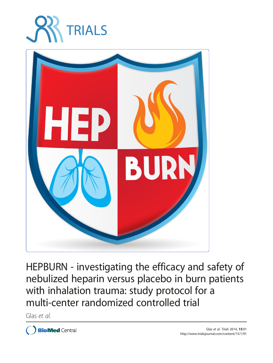



HEPBURN - investigating the efficacy and safety of nebulized heparin versus placebo in burn patients with inhalation trauma: study protocol for a multi-center randomized controlled trial

Glas et al.

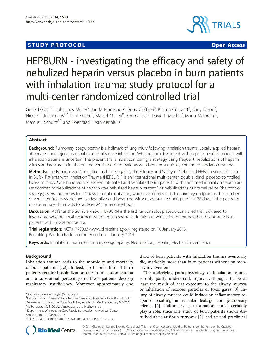# **STUDY PROTOCOL CONSUMING THE CONSUMING OPEN ACCESS**



# HEPBURN - investigating the efficacy and safety of nebulized heparin versus placebo in burn patients with inhalation trauma: study protocol for a multi-center randomized controlled trial

Gerie J Glas<sup>1,2\*</sup>, Johannes Muller<sup>3</sup>, Jan M Binnekade<sup>2</sup>, Berry Cleffken<sup>4</sup>, Kirsten Colpaert<sup>5</sup>, Barry Dixon<sup>6</sup> , Nicole P Juffermans<sup>1,2</sup>, Paul Knape<sup>7</sup>, Marcel M Levi<sup>8</sup>, Bert G Loef<sup>9</sup>, David P Mackie<sup>7</sup>, Manu Malbrain<sup>10</sup>, Marcus J Schultz<sup>1,2</sup> and Koenraad F van der Sluijs<sup>1</sup>

# Abstract

**Background:** Pulmonary coagulopathy is a hallmark of lung injury following inhalation trauma. Locally applied heparin attenuates lung injury in animal models of smoke inhalation. Whether local treatment with heparin benefits patients with inhalation trauma is uncertain. The present trial aims at comparing a strategy using frequent nebulizations of heparin with standard care in intubated and ventilated burn patients with bronchoscopically confirmed inhalation trauma.

Methods: The Randomized Controlled Trial Investigating the Efficacy and Safety of Nebulized HEParin versus Placebo in BURN Patients with Inhalation Trauma (HEPBURN) is an international multi-center, double-blind, placebo-controlled, two-arm study. One hundred and sixteen intubated and ventilated burn patients with confirmed inhalation trauma are randomized to nebulizations of heparin (the nebulized heparin strategy) or nebulizations of normal saline (the control strategy) every four hours for 14 days or until extubation, whichever comes first. The primary endpoint is the number of ventilator-free days, defined as days alive and breathing without assistance during the first 28 days, if the period of unassisted breathing lasts for at least 24 consecutive hours.

Discussion: As far as the authors know, HEPBURN is the first randomized, placebo-controlled trial, powered to investigate whether local treatment with heparin shortens duration of ventilation of intubated and ventilated burn patients with inhalation trauma.

Trial registration: [NCT01773083](http://www.clinicaltrials.gov/ct2/results?term=NCT01773083&Search=Search) [\(www.clinicaltrials.gov\)](http://www.clinicaltrials.gov), registered on 16 January 2013. Recruiting. Randomisation commenced on 1 January 2014.

Keywords: Inhalation trauma, Pulmonary coagulopathy, Nebulization, Heparin, Mechanical ventilation

# Background

Inhalation trauma adds to the morbidity and mortality of burn patients [\[1,2](#page-9-0)]. Indeed, up to one third of burn patients require hospitalization due to inhalation trauma and a substantial percentage of these patients develop respiratory insufficiency. Moreover, approximately one

2 Department of Intensive Care Medicine, Academic Medical Center, Amsterdam, the Netherlands

third of burn patients with inhalation trauma eventually die, markedly more than burn patients without pulmonary involvement.

The underlying pathophysiology of inhalation trauma is only partly understood. Injury is thought to be at least the result of heat exposure to the airway mucosa or inhalation of noxious particles or toxic gases [\[3](#page-9-0)]. Injury of airway mucosa could induce an inflammatory response resulting in vascular leakage and pulmonary edema [\[4](#page-9-0)]. Pulmonary cast-formation could certainly play a role, since one study of burn patients shows disturbed alveolar fibrin turnover [\[5\]](#page-9-0), and several preclinical



© 2014 Glas et al.; licensee BioMed Central Ltd. This is an Open Access article distributed under the terms of the Creative Commons Attribution License [\(http://creativecommons.org/licenses/by/2.0\)](http://creativecommons.org/licenses/by/2.0), which permits unrestricted use, distribution, and reproduction in any medium, provided the original work is properly credited.

<sup>\*</sup> Correspondence: [g.j.glas@amc.uva.nl](mailto:g.j.glas@amc.uva.nl) <sup>1</sup>

<sup>&</sup>lt;sup>1</sup> Laboratory of Experimental Intensive Care and Anesthesiology (L  $\cdot$  E $\cdot$  I C $\cdot$  A), Department of Intensive Care Medicine, Academic Medical Center, M0-210, Meibergdreef 9, 1105 AZ Amsterdam, the Netherlands

Full list of author information is available at the end of the article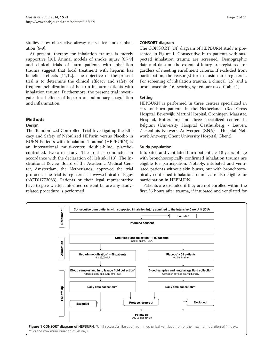studies show obstructive airway casts after smoke inhalation [[6-9\]](#page-9-0).

At present, therapy for inhalation trauma is merely supportive [\[10\]](#page-9-0). Animal models of smoke injury [\[6,7,9](#page-9-0)] and clinical trials of burn patients with inhalation trauma suggest that local treatment with heparin has beneficial effects [[11,](#page-9-0)[12\]](#page-10-0). The objective of the present trial is to determine the clinical efficacy and safety of frequent nebulizations of heparin in burn patients with inhalation trauma. Furthermore, the present trial investigates local effects of heparin on pulmonary coagulation and inflammation.

# Methods

# Design

The 'Randomized Controlled Trial Investigating the Efficacy and Safety of Nebulized HEParin versus Placebo in BURN Patients with Inhalation Trauma' (HEPBURN) is an international multi-center, double-blind, placebocontrolled, two-arm study. The trial is conducted in accordance with the declaration of Helsinki [\[13\]](#page-10-0). The Institutional Review Board of the Academic Medical Center, Amsterdam, the Netherlands, approved the trial protocol. The trial is registered at [www.clinicaltrials.gov](http://www.clinicaltrials.gov) (NCT01773083). Patients or their legal representative have to give written informed consent before any studyrelated procedure is performed.

#### CONSORT diagram

The CONSORT [[14\]](#page-10-0) diagram of HEPBURN study is presented in Figure 1. Consecutive burn patients with suspected inhalation trauma are screened. Demographic data and data on the extent of injury are registered regardless of meeting enrollment criteria. If excluded from participation, the reason(s) for exclusion are registered. For screening of inhalation trauma, a clinical [\[15\]](#page-10-0) and a bronchoscopic [\[16](#page-10-0)] scoring system are used (Table [1\)](#page-3-0).

# Setting

HEPBURN is performed in three centers specialized in care of burn patients in the Netherlands (Red Cross Hospital, Beverwijk; Martini Hospital, Groningen; Maasstad Hospital, Rotterdam) and three specialized centers in Belgium (University Hospital Gasthuisberg - Leuven; Ziekenhuis Netwerk Antwerpen (ZNA) - Hospital Network Antwerp; Ghent University Hospital, Ghent).

# Study population

Intubated and ventilated burn patients, > 18 years of age with bronchoscopically confirmed inhalation trauma are eligible for participation. Notably, intubated and ventilated patients without skin burns, but with bronchoscopically confirmed inhalation trauma, are also eligible for participation in HEPBURN.

Patients are excluded if they are not enrolled within the first 36 hours after trauma, if intubated and ventilated for

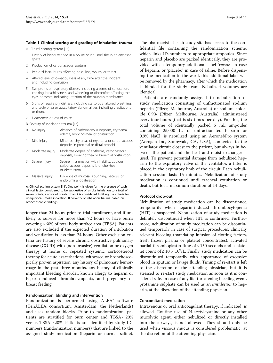#### <span id="page-3-0"></span>Table 1 Clinical scoring and grading of inhalation trauma

A. Clinical scoring system [[15\]](#page-10-0)

- 1 History of being trapped in a house or industrial fire in an enclosed space
- 2 Production of carbonaceous sputum
- 3 Peri-oral facial burns affecting nose, lips, mouth, or throat
- 4 Altered level of consciousness at any time after the incident and including confusion
- 5 Symptoms of respiratory distress, including a sense of suffocation, choking, breathlessness, and wheezing or discomfort affecting the eyes or throat, indicating irritation of the mucous membranes
- 6 Signs of respiratory distress, including stertorous, labored breathing, and tachypnea or auscultatory abnormalities, including crepitations or rhonchi
- 7 Hoarseness or loss of voice

| B. Severity of inhalation trauma [16] |                 |                                                                                                       |  |  |  |  |  |
|---------------------------------------|-----------------|-------------------------------------------------------------------------------------------------------|--|--|--|--|--|
|                                       | No injury       | Absence of carbonaceous deposits, erythema,<br>edema, bronchorrhea, or obstruction                    |  |  |  |  |  |
|                                       | Mild injury     | Minor patchy areas of erythema or carbonaceous<br>deposits in proximal or distal bronchi              |  |  |  |  |  |
|                                       | Moderate injury | Moderate degree of erythema, carbonaceous<br>deposits, bronchorrhea or bronchial obstruction          |  |  |  |  |  |
|                                       | Severe injury   | Severe inflammation with friability, copious<br>carbonaceous deposits, bronchorrhea<br>or obstruction |  |  |  |  |  |
| 4                                     | Massive injury  | Evidence of mucosal sloughing, necrosis or<br>endoluminal obliteration                                |  |  |  |  |  |

A. Clinical scoring system [\[15](#page-10-0)]. One point is given for the presence of each clinical factor considered to be suggestive of smoke inhalation to a total of seven points; a score of greater than 2 is considered fulfilling the criteria for unequivocal smoke inhalation. B. Severity of inhalation trauma based on bronchoscopic findings.

longer than 24 hours prior to trial enrollment, and if unlikely to survive for more than 72 hours or have burns covering > 60% of total body surface area (TBSA). Patients are also excluded if the expected duration of intubation and ventilation is less than 24 hours. Other exclusion criteria are history of severe chronic obstructive pulmonary disease (COPD) with (non-invasive) ventilation or oxygen therapy at home or repeated systemic corticosteroid therapy for acute exacerbations, witnessed or bronchoscopically proven aspiration, any history of pulmonary hemorrhage in the past three months, any history of clinically important bleeding disorder, known allergy to heparin or heparin-induced thrombocytopenia, and pregnancy or breast feeding.

# Randomization, blinding and intervention

Randomization is performed using ALEA® software (TenALEA consortium, Amsterdam, the Netherlands) and uses random blocks. Prior to randomization, patients are stratified for burn center and TBSA < 20% versus  $TBSA \geq 20\%$ . Patients are identified by study IDnumbers (randomization numbers) that are linked to the assigned study medication (heparin or normal saline).

The pharmacist at each study site has access to the confidential file containing the randomization scheme, which links ID-numbers to appropriate ampoules. Since heparin and placebo are packed identically, they are provided with a temporary additional label 'verum' in case of heparin, or 'placebo' in case of saline. Before dispensing the medication to the ward, this additional label will be removed by the pharmacy, after which the medication is blinded for the study team. Nebulized volumes are identical.

Patients are randomly assigned to nebulization of study medication consisting of unfractionated sodium heparin (Pfizer, Melbourne, Australia) or sodium chloride 0.9% (Pfizer, Melbourne, Australia), administered every four hours (that is six times per day). For this, the total volume of identically packed 5 mL ampoules containing 25,000 IU of unfractionated heparin or 0.9% NaCl, is nebulized using an AeronebPro system (Aerogen Inc, Sunnyvale, CA, USA), connected to the ventilator circuit closest to the patient, but always in between the patient and the heat and moist exchanger if used. To prevent potential damage from nebulized heparin to the expiratory valve of the ventilator, a filter is placed in the expiratory limb of the circuit. Each nebulization session lasts 15 minutes. Nebulization of study medication is continued until tracheal extubation or death, but for a maximum duration of 14 days.

#### Protocol drop-out

Nebulization of study medication can be discontinued temporarily when heparin-induced thrombocytopenia (HIT) is suspected. Nebulization of study medication is definitely discontinued when HIT is confirmed. Furthermore, nebulization of study medication can be discontinued temporarily in case of surgical procedures, clinically relevant bleeding (mandating infusion of clotting factors, fresh frozen plasma or platelet concentrates), activated partial thromboplastin time of > 150 seconds and a platelet count of  $\leq 10 \times 10^9$ /L. Finally, study medication can be discontinued temporarily with appearance of excessive blood in sputum or lavage fluids. Timing of re-start is left to the discretion of the attending physician, but it is stressed to re-start study medication as soon as it is considered safe. In case of any life-threatening bleeding event, protamine sulphate can be used as an *antidotum* to heparin, at the discretion of the attending physician.

#### Concomitant medication

Intravenous or oral anticoagulant therapy, if indicated, is allowed. Routine use of N-acetylcysteine or any other mucolytic agent, either nebulized or directly installed into the airways, is not allowed. They should only be used when viscous mucus is considered problematic, at the discretion of the attending physician.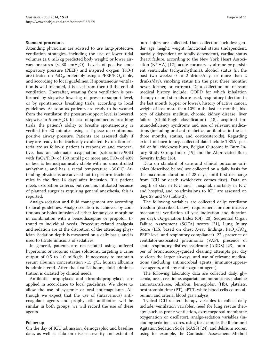#### Standard procedures

Attending physicians are advised to use lung-protective ventilation strategies, including the use of lower tidal volumes ( $\leq 6$  mL/kg predicted body weight) or lower airway pressures ( $\leq 30$  cmH<sub>2</sub>O). Levels of positive endexpiratory pressure (PEEP) and inspired oxygen (FiO<sub>2</sub>) are titrated on PaO<sub>2</sub>, preferably using a PEEP/FiO<sub>2</sub> table, and according to local guidelines. If spontaneous ventilation is well tolerated, it is used from then till the end of ventilation. Thereafter, weaning from ventilation is performed by stepwise lowering of pressure-support level, or by spontaneous breathing trials, according to local guidelines. As soon as patients are ready to be weaned from the ventilator, the pressure-support level is lowered stepwise to 5 cmH<sub>2</sub>O. In case of spontaneous breathing trials, the patient's ability to breathe spontaneously is verified for 30 minutes using a T-piece or continuous positive airway pressure. Patients are assessed daily if they are ready to be tracheally extubated. Extubation criteria are as follows: patient is responsive and cooperative, has an adequate oxygenation (saturation > 90%) with  $PaO<sub>2</sub>/FiO<sub>2</sub>$  of 150 mmHg or more and FiO<sub>2</sub> of 40% or less, is hemodynamically stable with no uncontrolled arrhythmia, and has a rectal temperature > 36.0°C. Attending physicians are advised not to perform tracheotomies in the first 14 days after inclusion. If a patient meets extubation criteria, but remains intubated because of planned surgeries requiring general anesthesia, this is reported.

Analgo-sedation and fluid management are according to local guidelines. Analgo-sedation is achieved by continuous or bolus infusion of either fentanyl or morphine in combination with a benzodiazepine or propofol, titrated to individual needs. Procedure-related analgesia and sedation are at the discretion of the attending physician. Sedation depth is measured on a daily basis, and is used to titrate infusions of sedatives.

In general, patients are resuscitated using buffered hypertonic or isotonic saline solutions, targeting a urine output of 0.5 to 1.0 ml/kg/h. If necessary to maintain serum albumin concentration > 15 g/L, human albumin is administered. After the first 24 hours, fluid administration is dictated by clinical needs.

Antibiotic prophylaxis and thromboprophylaxis are applied in accordance to local guidelines. We chose to allow the use of systemic or oral anticoagulants. Although we expect that the use of (intravenous) anticoagulant agents and prophylactic antibiotics will be similar in both groups, we will record the use of these agents.

#### Follow-up

On the day of ICU admission, demographic and baseline data, as well as data on disease severity and extent of burn injury are collected. Data collection includes: gender, age, height, weight, functional status (independent, partially dependent or totally dependent), cardiac status (heart failure, according to the New York Heart Association (NYHA) [\[17\]](#page-10-0), acute coronary syndrome or persistent ventricular tachyarrhythmia), alcohol status (in the past two weeks: 0 to 2 drinks/day, or more than 2 drinks/day), smoking status (in the past three months: never, former, or current). Data collection on relevant medical history include: COPD for which inhalation therapy or oral steroids are used, respiratory infection in the last month (upper or lower), history of active cancer, weight of loss more than 10% in the last six months, history of diabetes mellitus, chronic kidney disease, liver failure (Child-Pugh classification) [[18\]](#page-10-0), acquired immunodeficiency syndrome and use of relevant medications (including oral anti-diabetics, antibiotics in the last three months, statins, and corticosteroids). Regarding extent of burn injury, collected data include TBSA, partial or full thickness burn, Belgian Outcome in Burn Injury Study Group Index [\[19\]](#page-10-0) and the Abbreviated Burn Severity Index (16).

Data on standard of care and clinical outcome variables (described below) are collected on a daily basis for the maximum duration of 28 days, until first discharge from ICU or death (whichever comes first). Data on length of stay in ICU and - hospital, mortality in ICU and hospital, and re-admissions to ICU are assessed on days 28 and 90 (Table [2](#page-5-0)).

The following variables are collected daily: ventilator freedom (described below), requirement for non-invasive mechanical ventilation (if yes: indication and duration per day), Oxygenation Index (OI) [[20\]](#page-10-0), Sequential Organ Failure Assessment (SOFA) scores [\[21\]](#page-10-0), Lung Injury Score (LIS, based on chest X-ray findings,  $PaO<sub>2</sub>/FiO<sub>2</sub>$ , PEEP level and respiratory compliance) [\[22](#page-10-0)], presence of ventilator-associated pneumonia (VAP), presence of acute respiratory distress syndrome (ARDS) [[23\]](#page-10-0), number of bronchoscopy-guided cleaning attempts per day to clean the larger airways, and use of relevant medications (including antimicrobial agents, immunosuppressive agents, and any anticoagulant agent).

The following laboratory data are collected daily: glycemia, urea, creatinine, aspartate aminotransferase, alanine aminotransferase, bilirubin, hemoglobin (Hb), platelets, prothrombin time (PT), aPTT, white blood cells count, albumin, and arterial blood gas analysis.

Typical ICU-related therapy variables to collect daily include: ventilation variables, need for lung rescue therapy (such as prone ventilation, extracorporeal membrane oxygenation or oscillator), analgo-sedation variables (including sedations scores, using for example, the Richmond Agitation Sedation Scale (RASS) [\[24\]](#page-10-0), and delirium scores, using for example, the Confusion Assessment Method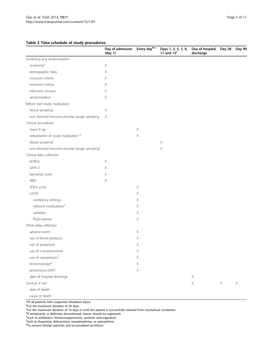# <span id="page-5-0"></span>Table 2 Time schedule of study procedures

|                                                            | Day of admission<br>(day 1) | Every dayb/c | Days 1, 3, 5, 7, 9,<br>11 and $13c$ | Day of hospital<br>discharge | Day 28 | Day 90 |
|------------------------------------------------------------|-----------------------------|--------------|-------------------------------------|------------------------------|--------|--------|
| Screening and randomization                                |                             |              |                                     |                              |        |        |
| screening <sup>a</sup>                                     | Χ                           |              |                                     |                              |        |        |
| demographic data                                           | Χ                           |              |                                     |                              |        |        |
| inclusion criteria                                         | Χ                           |              |                                     |                              |        |        |
| exclusion criteria                                         | X.                          |              |                                     |                              |        |        |
| informed consent                                           | Χ                           |              |                                     |                              |        |        |
| randomization                                              | Χ                           |              |                                     |                              |        |        |
| Before start study medication                              |                             |              |                                     |                              |        |        |
| blood sampling                                             | Χ                           |              |                                     |                              |        |        |
| non directed broncho-alveolar lavage sampling              | X                           |              |                                     |                              |        |        |
| Clinical procedures                                        |                             |              |                                     |                              |        |        |
| chest X-ray                                                |                             | $\mathsf X$  |                                     |                              |        |        |
| nebulization of study medication <sup>c,d</sup>            |                             | $\mathsf X$  |                                     |                              |        |        |
| blood sampling <sup>c</sup>                                |                             |              | $\boldsymbol{\mathsf{X}}$           |                              |        |        |
| non-directed broncho-alveolar lavage sampling <sup>c</sup> |                             |              | $\mathsf X$                         |                              |        |        |
| Clinical data collection                                   |                             |              |                                     |                              |        |        |
| %TBSA                                                      | X                           |              |                                     |                              |        |        |
| SAPS II                                                    | Χ                           |              |                                     |                              |        |        |
| Karnofsky score                                            | $\mathsf X$                 |              |                                     |                              |        |        |
| ABSI                                                       | X                           |              |                                     |                              |        |        |
| SOFA score                                                 |                             | Χ            |                                     |                              |        |        |
| LIS/OI                                                     |                             | $\mathsf X$  |                                     |                              |        |        |
| ventilatory settings                                       |                             | $\mathsf X$  |                                     |                              |        |        |
| relevant medications <sup>e</sup>                          |                             | $\mathsf X$  |                                     |                              |        |        |
| sedation                                                   |                             | $\mathsf X$  |                                     |                              |        |        |
| fluid balance                                              |                             | $\mathsf X$  |                                     |                              |        |        |
| Other data collection                                      |                             |              |                                     |                              |        |        |
| adverse event                                              |                             | $\mathsf X$  |                                     |                              |        |        |
| use of blood products                                      |                             | Χ            |                                     |                              |        |        |
| use of protamine                                           |                             | Χ            |                                     |                              |        |        |
| use of n-acetylcysteine                                    |                             | Χ            |                                     |                              |        |        |
| use of vasopressors <sup>f</sup>                           |                             | $\mathsf X$  |                                     |                              |        |        |
| bronchoscopy <sup>g</sup>                                  |                             | $\mathsf X$  |                                     |                              |        |        |
| pneumonia (VAP)                                            |                             | $\mathsf X$  |                                     |                              |        |        |
| date of hospital discharge                                 |                             |              |                                     | $\mathsf X$                  |        |        |
| Survival, if not:                                          |                             |              |                                     | $\mathsf X$                  | X      | X      |
| date of death                                              |                             |              |                                     |                              |        |        |
| cause of death                                             |                             |              |                                     |                              |        |        |

<sup>a</sup>Of all patients with suspected inhalation injury.

<sup>b</sup>For the maximum duration of 28 days.<br><sup>c</sup>For the maximum duration of 14 days or until the patient is successfully weaned from mechanical ventilation.

<sup>d</sup>If temporarily or definitely discontinued, reason should be registered.<br><sup>e</sup>Such as antibiotics, immunosuppressives, systemic anticoagulants.<br><sup>f</sup>Such as dopamine, dobutamine, norepinephrine, or epinephrine.

<sup>9</sup>To remove foreign particles and accumulated secretions.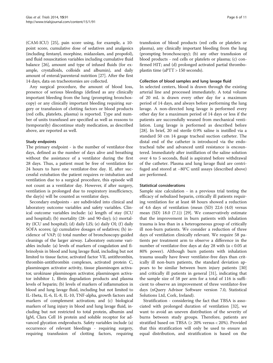(CAM-ICU) [\[25\]](#page-10-0), pain score using, for example, a 10 point score, cumulative dose of sedatives and analgesics (including fentanyl, morphine, midazolam, and propofol), and fluid resuscitation variables including cumulative fluid balance [\[26\]](#page-10-0), amount and type of infused fluids (for example, crystalloids, colloids and albumin), and daily amount of enteral/parenteral nutrition [[27](#page-10-0)]. After the first 14 days, data on tracheotomies are collected.

Any surgical procedure, the amount of blood loss, presence of serious bleedings (defined as any clinically important bleeding from the lung (prompting bronchoscopy) or any clinically important bleeding requiring surgery or transfusion of clotting factors or blood products (red cells, platelets, plasma) is reported. Type and number of units transfused are specified as well as reasons to (temporarily) discontinue study medication, as described above, are reported as well.

# Study endpoints

The primary endpoint - is the number of ventilator-free days, defined as the number of days alive and breathing without the assistance of a ventilator during the first 28 days. Thus, a patient must be free of ventilation for 24 hours to have one ventilator-free day. If, after successful extubation the patient requires re-intubation and ventilation due to a surgical procedure, this episode will not count as a ventilator day. However, if after surgery, ventilation is prolonged due to respiratory insufficiency, the day(s) will be counted as ventilator days.

Secondary endpoints - are subdivided into clinical and laboratory outcome variables and safety variables. Clinical outcome variables include: (a) length of stay (ICU and hospital); (b) mortality (28- and 90-day); (c) mortality (ICU and hospital); (d) daily LIS; (e) daily OI; (f) daily SOFA scores; (g) cumulative dosages of sedatives; (h) incidence of VAP; (i) total number of bronchoscopy-guided cleanings of the larger airway. Laboratory outcome variables include: (a) levels of markers of coagulation and fibrinolysis in blood and lung lavage fluid, including but not limited to tissue factor, activated factor VII, antithrombin, thrombin-antithrombin complexes, activated protein C, plasminogen activator activity, tissue plasminogen activator, urokinase plasminogen activator, plasminogen activator inhibitor 1, fibrin degradation products and plasma levels of heparin; (b) levels of markers of inflammation in blood and lung lavage fluid, including but not limited to IL-1beta, IL-6, IL-8, IL-10, TNF-alpha, growth factors and markers of complement activation; and (c) biological markers of lung injury in blood and lung lavage fluid, including but not restricted to total protein, albumin and IgM, Clara Cell 16 protein and soluble receptor for advanced glycation endproducts. Safety variables include (a) occurrence of relevant bleedings - requiring surgery, requiring transfusion of clotting factors, requiring transfusion of blood products (red cells or platelets or plasma), any clinically important bleeding from the lung (prompting bronchoscopy); (b) any other transfusion of blood products - red cells or platelets or plasma; (c) confirmed HIT; and (d) prolonged activated partial thromboplastin time (aPTT > 150 seconds).

# Collection of blood samples and lung lavage fluid

In selected centers, blood is drawn through the existing arterial line and processed immediately. A total volume of 20 mL is drawn every other day for a maximum period of 14 days, and always before performing the lung lavage. A non-directed lung lavage is performed every other day for a maximum period of 14 days or less if the patients are successfully weaned from mechanical ventilation. Lung lavage is performed as described before [[28\]](#page-10-0). In brief, 20 ml sterile 0.9% saline is instilled via a standard 50 cm 14 gauge tracheal suction catheter. The distal end of the catheter is introduced via the endotracheal tube and advanced until resistance is encountered. Immediately after instillation of the saline solution over 4 to 5 seconds, fluid is aspirated before withdrawal of the catheter. Plasma and lung lavage fluid are centrifuged and stored at −80°C until assays (described above) are performed.

#### Statistical considerations

Sample size calculation - in a previous trial testing the efficacy of nebulized heparin, critically ill patients requiring ventilation for at least 48 hours showed a reduction of 4.6 days of ventilation (mean (SD) 22.6 (4.0) versus mean (SD) 18.0 (7.1)) [\[29](#page-10-0)]. We conservatively estimate that the improvement in burn patients with inhalation trauma is less than in a heterogeneous group of critically ill non-burn patients. We consider a reduction of three days of ventilation clinically relevant. We require 58 patients per treatment arm to observe a difference in the number of ventilator-free days at day 28 with ( $α < 0.05$  at 80% power). Although burn patients with inhalation trauma usually have fewer ventilator-free days than critically ill non-burn patients, the standard deviation appears to be similar between burn injury patients [[30](#page-10-0)] and critically ill patients in general [[31\]](#page-10-0), indicating that the sample size of 58 per arm for a total of 116 is sufficient to observe an improvement of three ventilator-free days (nQuery Advisor Software version 7.0, Statistical Solutions Ltd, Cork, Ireland).

Stratification - considering the fact that TBSA is associated with prolonged duration of ventilation [\[32](#page-10-0)], we want to avoid an uneven distribution of the severity of burns between study groups. Therefore, patients are stratified based on TBSA ( $\geq$  20% versus < 20%). Provided that this stratification will only be used to ensure an equal distribution, and stratification is based on the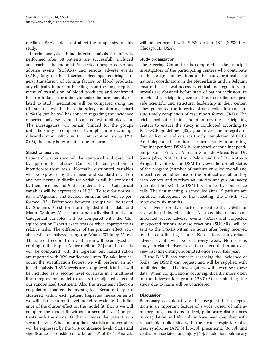median TBSA, it does not affect the sample size of this study.

Interim analysis - blind interim analysis for safety is performed after 58 patients are successfully included and reached the endpoint. Suspected unexpected serious adverse events (SUSARs) and serious adverse events (SAEs) (any death; all serious bleedings requiring surgery, transfusion of clotting factors or blood products; any clinically important bleeding from the lung; requirement of transfusion of blood products; and confirmed heparin-induced thrombocytopenia) that are possibly related to study medication will be compared using the Chi-square test. If the data safety monitoring board (DSMB) (see below) has concern regarding the incidence of serious adverse events, it can request unblinded data. The investigators will remain blinded for the groups until the study is completed. If complications occur significantly more often in the intervention group ( $P \leq$ 0.05), the study is terminated due to harm.

# Statistical analysis

Patient characteristics will be compared and described by appropriate statistics. Data will be analyzed on an intention-to-treat basis. Normally distributed variables will be expressed by their mean and standard deviation and non-normally distributed variables will be expressed by their medians and 95% confidence levels. Categorical variables will be expressed as N (%). To test for normality, a D'Agostino and Pearson omnibus test will be performed [[33](#page-10-0)]. Differences between groups will be tested by Student's t-test for normally distributed data and Mann–Whitney U-test for not normally distributed data. Categorical variables will be compared with the Chisquare test or Fisher's exact tests or when appropriate as relative risks. The difference of the primary effect variables will be analyzed using the Mann–Whitney U-test. The rate of freedom from ventilation will be analyzed according to the Kaplan-Meier method [\[34\]](#page-10-0) and the results will be compared with the log-rank test hazard ratio's are reported with 95% confidence limits. To take into account the stratification factors, we will perform an adjusted analysis. TBSA levels are group level data that will be included as a second level covariate in a multilevel linear regression model to assess the adjusted effect of our randomized treatment. Also the treatment effect on coagulation markers is investigated. Because they are clustered within each patient (repeated measurements) we will also use a multilevel model to evaluate the influence of the cluster effect on the model fit, that is we will compare the model fit without a second level (the patient) with the model fit that includes the patient as a second level. When appropriate, statistical uncertainty will be expressed by the 95% confidence levels. Statistical significance is considered to be at a  $P$  of 0.05. Analysis will be performed with SPSS version 18.1 (SPSS Inc., Chicago, IL, USA).

#### Study organization

The Steering Committee is composed of the principal investigators of the participating centers who contribute to the design and revisions of the study protocol. The national coordinators in the Netherlands and in Belgium ensure that all local necessary ethical and regulatory approvals are obtained before start of patient inclusion. In individual participating centers, local coordinators provide scientific and structural leadership in their center. They guarantee the integrity of data collection and ensure timely completion of case report forms (CRFs). The trial coordinator trains and monitors the participating centers to ensure the study is conducted according to ICH-GCP guidelines [\[35\]](#page-10-0), guarantees the integrity of data collection and ensures timely completion of CRFs. An independent monitor performs study monitoring. The independent DSMB is composed of four independent persons (Prof. Dr. Marcelo Gama de Abreu, Prof. Dr. Samir Jaber, Prof. Dr. Paolo Pelosi, and Prof. Dr. Antonio Artigas Raventós). The DSMB reviews the overall status of the program (number of patients enrolled overall and in each center, adherence to the protocol overall and by each center) and receives an interim analysis on safety (described below). The DSMB will meet by conference calls. The first meeting is scheduled after 15 patients are enrolled. Subsequent to this meeting, the DSMB will meet every six months.

All adverse events reported are sent to the DSMB for review in a blinded fashion. All (possibly) related and unrelated severe adverse events (SAEs) and suspected unexpected serious adverse reactions (SUSARs) will be sent to the DSMB within 24 hours after being received by the coordinating center. Non-serious study-related adverse events will be sent every week. Non-serious study-unrelated adverse events are recorded in an overview list (line-listing), submitted once every half year.

If the DSMB has concern regarding the incidence of SAEs, the DSMB can request and will be supplied with unblinded data. The investigators will never see these data. When complications occur significantly more often in the intervention group ( $P \le 0.05$ ), terminating the study due to harm will be considered.

### **Discussion**

Pulmonary coagulopathy and subsequent fibrin deposition is an important feature of a wide variety of inflammatory lung conditions. Indeed, pulmonary disturbances in coagulation and fibrinolysis have been described with remarkable uniformity with the acute respiratory distress syndrome (ARDS) [[36-38\]](#page-10-0), pneumonia [\[36,39](#page-10-0)], and ventilator-associated lung injury [\[40](#page-10-0)]. In addition, pulmonary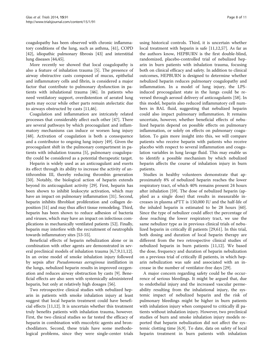coagulopathy has been observed with chronic inflammatory conditions of the lung, such as asthma, [\[41\]](#page-10-0), COPD [[42](#page-10-0)], idiopathic pulmonary fibrosis [[43](#page-10-0)] and interstitial lung diseases [\[44,45\]](#page-10-0).

More recently we showed that local coagulopathy is also a feature of inhalation trauma [\[5](#page-9-0)]. The presence of airway obstructive casts composed of mucus, epithelial and inflammatory cells and fibrin, is considered a major factor that contribute to pulmonary dysfunction in patients with inhalational trauma [\[46\]](#page-10-0). In patients who need ventilatory support, overdistention of aerated lung parts may occur while other parts remain atelectatic due to airways obstructed by casts [\[11](#page-9-0)[,46](#page-10-0)].

Coagulation and inflammation are intricately related processes that considerably affect each other [[47\]](#page-10-0). There are several pathways by which procoagulant and inflammatory mechanisms can induce or worsen lung injury [[48\]](#page-10-0). Activation of coagulation is both a consequence and a contributor to ongoing lung injury [[49\]](#page-10-0). Given the procoagulant shift in the pulmonary compartment in patients with inhalation trauma [\[5](#page-9-0)], pulmonary coagulopathy could be considered as a potential therapeutic target.

Heparin is widely used as an anticoagulant and exerts its effect through its ability to increase the activity of antithrombin III, thereby reducing thrombin generation [[50\]](#page-10-0). Notably, the biological action of heparin extends beyond its anticoagulant activity [[29\]](#page-10-0). First, heparin has been shown to inhibit leukocyte activation, which may have an impact on pulmonary inflammation [\[31\]](#page-10-0). Second, heparin inhibits fibroblast proliferation and collagen deposition [[51](#page-10-0)] and may thus affect tissue remodeling. Third, heparin has been shown to reduce adhesion of bacteria and viruses, which may have an impact on infectious complications in mechanically ventilated patients [\[52\]](#page-10-0). Finally, heparin may interfere with the recruitment of neutrophils towards inflammatory sites [\[53](#page-10-0)-[55](#page-10-0)].

Beneficial effects of heparin nebulization alone or in combination with other agents are demonstrated in several preclinical models of inhalation trauma [\[6,7,9,11](#page-9-0)[,12](#page-10-0)]. In an ovine model of smoke inhalation injury followed by sepsis after Pseudomonas aeruginosa instillation in the lungs, nebulized heparin results in improved oxygenation and reduces airway obstruction by casts [\[9](#page-9-0)]. Beneficial effects are also seen with systemically administered heparin, but only at relatively high dosages [\[56\]](#page-10-0).

Two retrospective clinical studies with nebulized heparin in patients with smoke inhalation injury at least suggest that local heparin treatment could have beneficial effects [[11,](#page-9-0)[12\]](#page-10-0). It is uncertain whether this treatment truly benefits patients with inhalation trauma, however. First, the two clinical studies so far tested the efficacy of heparin in combination with mucolytic agents and bronchodilators. Second, these trials have some methodological problems, since they were single-center trials

using historical controls. Third, it is uncertain whether local treatment with heparin is safe [[11,](#page-9-0)[12,](#page-10-0)[57\]](#page-11-0). As far as the authors know, HEPBURN is the first double-blind, randomized, placebo-controlled trial of nebulized heparin in burn patients with inhalation trauma, focusing both on clinical efficacy and safety. In addition to clinical outcomes, HEPBURN is designed to determine whether nebulized heparin reduces pulmonary coagulopathy and inflammation. In a model of lung injury, the LPSinduced procoagulant state in the lungs could be reversed through aerosol delivery of anticoagulants [[58\]](#page-11-0). In this model, heparin also reduced inflammatory cell numbers in BAL fluid, suggesting that nebulized heparin could also impact pulmonary inflammation. It remains uncertain, however, whether beneficial effects of nebulized heparin depend on possible effects on pulmonary inflammation, or solely on effects on pulmonary coagulation. To gain more insight into this, we will compare patients who receive heparin with patients who receive placebo with respect to several inflammation and coagulation variables in lung lavage fluid. This may enable us to identify a possible mechanism by which nebulized heparin affects the course of inhalation injury in burn patients.

Studies in healthy volunteers demonstrate that approximately 8% of nebulized heparin reaches the lower respiratory tract, of which 40% remains present 24 hours after inhalation [\[59\]](#page-11-0). The dose of nebulized heparin (applied as a single dose) that results in measurable increases in plasma aPTT is 150,000 IU and the half-life of the inhaled heparin is estimated to be 28 hours [\[60](#page-11-0)]. Since the type of nebulizer could affect the percentage of dose reaching the lower respiratory tract, we use the same nebulizer type as in previous clinical trials of nebulized heparin in critically ill patients [[29,](#page-10-0)[61\]](#page-11-0). In this trial, both dosing and duration of local heparin therapy are different from the two retrospective clinical studies of nebulized heparin in burn patients [[11,](#page-9-0)[12\]](#page-10-0). We based the dose, frequency and duration of heparin nebulization on a previous trial of critically ill patients, in which heparin nebulization was safe and associated with an increase in the number of ventilator-free days [\[29](#page-10-0)].

A major concern regarding safety could be the occurrence of serious bleedings. It might be argued that, due to endothelial injury and the increased vascular permeability resulting from the inhalational injury, the systemic impact of nebulized heparin and the risk of pulmonary bleedings might be higher in burn patients with inhalation injury when compared to critically ill patients without inhalation injury. However, two preclinical studies of burn and smoke inhalation injury models reported that heparin nebulization did not affect the systemic clotting time [[6,9\]](#page-9-0). To date, data on safety of local heparin treatment in burn patients with inhalation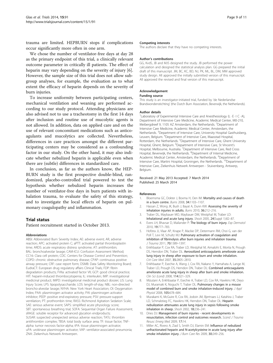<span id="page-9-0"></span>trauma are limited. HEPBURN stops if complications occur significantly more often in one arm.

We chose the number of ventilator-free days at day 28 as the primary endpoint of this trial, a clinically relevant outcome parameter in critically ill patients. The effect of heparin may vary depending on the severity of injury [6]. However, the sample size of this trial does not allow subgroup analyses, for example, the evaluation as to what extent the efficacy of heparin depends on the severity of burn injuries.

To increase uniformity between participating centers, mechanical ventilation and weaning are performed according to our study protocol. Attending physicians are also advised not to use a tracheotomy in the first 14 days after inclusion and routine use of mucolytic agents is not allowed. In addition, data on applied care and on the use of relevant concomitant medications such as anticoagulants and mucolytics are collected. Nevertheless, differences in care practices amongst the different participating centers may be considered as a confounding factor in our study. On the other hand, it may also indicate whether nebulized heparin is applicable even when there are (subtle) differences in standardized care.

In conclusion, as far as the authors know, the HEP-BURN study is the first prospective double-blind, randomized, placebo-controlled trial powered to test the hypothesis whether nebulized heparin increases the number of ventilator-free days in burn patients with inhalation trauma, to evaluate the safety of this strategy, and to investigate the local effects of heparin on pulmonary coagulopathy and inflammation.

# Trial status

Patient recruitment started in October 2013.

#### Abbreviations

ABSI: Abbreviated Burn Severity Index; AE: adverse event; AR, adverse reaction; APC: activated protein C; aPTT: activated partial thromboplastin time; ARDS: acute respiratory distress syndrome; AT: antithrombin; BAL: bronchoalveolar lavage; CAM-ICU: Confusion Assessment Method; CC16: Clara cell protein; CDC: Centers for Disease Control and Prevention; COPD: chronic obstructive pulmonary disease; CPAP: continuous positive airway pressure; CRF: case report form; DSMB: Data Safety Monitoring Board; EudraCT: European drug regulatory affairs Clinical Trials; FDP: fibrin degradation products; FVIIa: activated factor VII; GCP: good clinical practice; HIT: heparin-induced thrombocytopenia; IL: interleukin; IMP: investigational medicinal product; IMPD: investigational medicinal product dossier; LIS: Lung Injury Score; LPS: lipopolysaccharide; LOS: length-of-stay; NBL: non-directed broncho-alveolar lavage; NYHA: New York Heart Association; OI: Oxygenation Index; PAA: plasminogen activator activity; PAI: plasminogen activator inhibitor; PEEP: positive end-expiratory pressure; PSV: pressure-support ventilation; PT: prothrombin time; RASS: Richmond Agitation Sedation Scale; SAE: serious adverse event; SAPS: simplified acute physiology score; SBT: spontaneous breathing trial; SOFA: Sequential Organ Failure Assessment; sRAGE: soluble receptor for advanced glycation endproducts; SUSAR: suspected unexpected serious adverse reaction; TATc: thrombin antithrombin complex; TBSA: total body surface area; TF: tissue factor; TNFalpha: tumor necrosis factor-alpha; tPA: tissue plasminogen activator; uPA: urokinase plasminogen activator; VAP: ventilator-associated pneumonia; ZNA: Ziekenhuis Netwerk Antwerpen.

#### Competing interests

The authors declare that they have no competing interests.

#### Author's contributions

GG, KvdS, JB and MJS designed the study. JB performed the power calculation and designed the statistical analysis plan. GG prepared the initial draft of this manuscript. JM, BC, KC, BD, NJ, PK, ML, BL, DM, MM approved study design. All approved the initially submitted version of this manuscript. All approved the revised and final version of this manuscript.

#### Acknowledgement

#### Funding source

This study is an investigator-initiated trial, funded by 'de Nederlandse Brandwondenstichting' (the Dutch Burn Association, Beverwijk, the Netherlands).

#### Author details

<sup>1</sup> Laboratory of Experimental Intensive Care and Anesthesiology (L · E · I C · A) Department of Intensive Care Medicine, Academic Medical Center, M0-210, Meibergdreef 9, 1105 AZ Amsterdam, the Netherlands. <sup>2</sup>Department of Intensive Care Medicine, Academic Medical Center, Amsterdam, the Netherlands. <sup>3</sup>Department of Intensive Care, University Hospital Gasthuisberg Leuven, Belgium. <sup>4</sup>Department of Intensive Care, Maasstad Hospital Rotterdam, the Netherlands. <sup>5</sup>Department of Intensive Care, Ghent University Hospital, Ghent, Belgium. <sup>6</sup>Department of Intensive Care, St Vincent's Hospital, Melbourne, Australia. <sup>7</sup> Department of Intensive Care, Red Cross Hospital, Beverwijk, the Netherlands. <sup>8</sup>Department of Internal Medicine, Academic Medical Center, Amsterdam, the Netherlands. <sup>9</sup>Department of Intensive Care, Martini Hospital, Groningen, the Netherlands. <sup>10</sup>Department of Intensive Care, Ziekenhuis Netwerk Antwerpen - Stuivenberg, Antwerp, Belgium.

#### Received: 21 May 2013 Accepted: 7 March 2014 Published: 25 March 2014

#### References

- Bloemsma GC, Dokter J, Boxma H, Oen IM: Mortality and causes of death in a burn centre. Burns 2008, 34:1103–1107.
- 2. Hassan Z, Wong JK, Bush J, Bayat A, Dunn KW: Assessing the severity of inhalation injuries in adults. Burns 2010, 36:212–216.
- 3. Traber DL, Maybauer MO, Maybauer DM, Westphal M, Traber LD: Inhalational and acute lung injury. Shock 2005, 24(Suppl 1):82–87.
- 4. Evers LH, Bhavsar D, Mailander P: The biology of burn injury. Exp Dermatol 2010, 19:777–783.
- 5. Hofstra JJ, Vlaar AP, Knape P, Mackie DP, Determann RM, Choi G, van der Poll T, Levi M, Schultz MJ: Pulmonary activation of coagulation and inhibition of fibrinolysis after burn injuries and inhalation trauma. J Trauma 2011, 70:1389–1397.
- 6. Enkhbaatar P, Cox RA, Traber LD, Westphal M, Aimalohi E, Morita N, Prough DS, Herndon DN, Traber DL: Aerosolized anticoagulants ameliorate acute lung injury in sheep after exposure to burn and smoke inhalation. Crit Care Med 2007, 35:2805–2810.
- 7. Enkhbaatar P, Esechie A, Wang J, Cox RA, Nakano Y, Hamahata A, Lange M, Traber LD, Prough DS, Herndon DN, Traber DL: Combined anticoagulants ameliorate acute lung injury in sheep after burn and smoke inhalation. Clin Sci (Lond) 2008, 114:321–329.
- 8. Mizutani A, Enkhbaatar P, Esechie A, Traber LD, Cox RA, Hawkins HK, Deyo DJ, Muramaki K, Noguchi T, Traber DL: Pulmonary changes in a mouse model of combined burn and smoke inhalation-induced injury. J Appl Physiol 2008, 105:678–684.
- 9. Murakami K, McGuire R, Cox RA, Jodoin JM, Bjertnaes LJ, Katahira J, Traber LD, Schmalstieg FC, Hawkins HK, Herndon DN, Traber DL: Heparin nebulization attenuates acute lung injury in sepsis following smoke inhalation in sheep. Shock 2002, 18:236–241.
- 10. Dries DJ: Management of burn injuries recent developments in resuscitation, infection control and outcomes research. Scand J Trauma Resusc Emerg Med 2009, 17:14.
- 11. Miller AC, Rivero A, Ziad S, Smith DJ, Elamin EM: Influence of nebulized unfractionated heparin and N-acetylcysteine in acute lung injury after smoke inhalation injury. J Burn Care Res 2009, 30:249-256.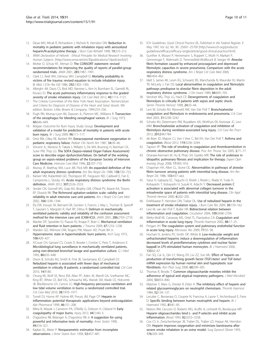- <span id="page-10-0"></span>12. Desai MH, Mlcak R, Richardson J, Nichols R, Herndon DN: Reduction in mortality in pediatric patients with inhalation injury with aerosolized heparin/N-acetylcystine therapy. J Burn Care Rehabil 1998, 19:210-212.
- 13. WMA Declaration of Helsinki Ethical Principles for Medical Research Involving Human Subjects. [[http://www.wma.net/en/30publications/10policies/b3/\]](http://www.wma.net/en/30publications/10policies/b3/)
- 14. Moher D, Schulz KF, Altman D: The CONSORT statement: revised recommendations for improving the quality of reports of parallel-group randomized trials. JAMA 2001, 285:1987–1991.
- 15. Clark CJ, Reid WH, Gilmour WH, Campbell D: Mortality probability in victims of fire trauma: revised equation to include inhalation injury. Br Med J (Clin Res Ed) 1986, 292:1303–1305.
- 16. Albright JM, Davis CS, Bird MD, Ramirez L, Kim H, Burnham EL, Gamelli RL, Kovacs EJ: The acute pulmonary inflammatory response to the graded severity of smoke inhalation injury. Crit Care Med 2012, 40:1113-1121.
- 17. The Criteria Committee of the New York Heart Association: Nomenclature and Criteria for Diagnosis of Diseases of the Heart and Great Vessels. 9th edition. Boston: Little, Brown & Company; 1994:253–256.
- 18. Pugh RN, Murray-Lyon IM, Dawson JL, Pietroni MC, Williams R: Transection of the oesophagus for bleeding oesophageal varices. Br J Surg 1973, 60:646–649.
- 19. Belgian Outcome for Burn Injury Study Group: Development and validation of a model for prediction of mortality in patients with acute burn injury. Br J Surg 2009, 96:111–117.
- 20. Ortiz RM, Cilley RE, Bartlett RH: Extracorporeal membrane oxygenation in pediatric respiratory failure. Pediatr Clin North Am 1987, 34:39–46.
- 21. Vincent JL, Moreno R, Takala J, Willatts S, De MA, Bruining H, Reinhart CK, Suter PM, Thijs LG: The SOFA (Sepsis-related Organ Failure Assessment) score to describe organ dysfunction/failure. On behalf of the working group on sepsis-related problems of the European Society of Intensive Care Medicine. Intensive Care Med 1996, 22:707–710.
- 22. Murray JF, Matthay MA, Luce JM, Flick MR: An expanded definition of the adult respiratory distress syndrome. Am Rev Respir Dis 1988, 138:720–723.
- 23. Ranieri VM, Rubenfeld GD, Thompson BT, Ferguson ND, Caldwell E, Fan E, Camporota L, Slutsky AS: Acute respiratory distress syndrome: the Berlin definition. JAMA 2012, 307:2526–2533.
- 24. Sessler CN, Gosnell MS, Grap MJ, Brophy GM, O'Neal PV, Keane KA, Tesoro EP, Elswick RK: The Richmond agitation-sedation scale: validity and reliability in adult intensive care unit patients. Am J Respir Crit Care Med 2002, 166:1338–1344.
- 25. Ely EW, Inouye SK, Bernard GR, Gordon S, Francis J, May L, Truman B, Speroff T, Gautam S, Margolin R, Hart RP, Dittus R: Delirium in mechanically ventilated patients: validity and reliability of the confusion assessment method for the intensive care unit (CAM-ICU). JAMA 2001, 286:2703–2710.
- 26. Mackie DP, Spoelder EJ, Paauw RJ, Knape P, Boer C: Mechanical ventilation and fluid retention in burn patients. J Trauma 2009, 67:1233-1238
- 27. Warden GD, Wilmore DW, Rogers PW, Mason AD, Pruitt BA Jr: Hypernatremic state in hypermetabolic burn patients. Arch Surg 1973, 106:420–427.
- 28. A'Court CH, Garrard CS, Crook D, Bowler I, Conlon C, Peto T, Anderson E: Microbiological lung surveillance in mechanically ventilated patients, using non-directed bronchial lavage and quantitative culture. Q J Med 1993, 86:635–648.
- 29. Dixon B, Schultz MJ, Smith R, Fink JB, Santamaria JD, Campbell DJ: Nebulized heparin is associated with fewer days of mechanical ventilation in critically ill patients: a randomized controlled trial. Crit Care 2010, 14:R180.
- 30. Chung KK, Wolf SE, Renz EM, Allan PF, Aden JK, Merrill GA, Snelhamer MC, King BT, White CE, Bell DG, Schwacha MG, Wanek SM, Wade CE, Holcomb JB, Blackbourne LH, Cancio LC: High-frequency percussive ventilation and low tidal volume ventilation in burns: a randomized controlled trial. Crit Care Med 2010, 38:1970–1977.
- 31. Tyrrell DJ, Horne AP, Holme KR, Preuss JM, Page CP: Heparin in inflammation: potential therapeutic applications beyond anticoagulation. Adv Pharmacol 1999, 46:151–208.
- 32. Mitra B, Wasiak J, Cameron PA, O'Reilly G, Dobson H, Cleland H: Early coagulopathy of major burns. Injury 2012, 44(1):40–3.
- 33. D'agostino RB, Belanger A, D'agostino RB Jr: A suggestion for using powerful and informative tests of normality. Amer Statist 1990, 44:316–321.
- 34. Kaplan EL, Meier P: Nonparametric estimation from incomplete observations. J Amer Statist Assn 1958, 53:457–481.
- 35. ICH Guidelines: Good Clinical Practice E6, Published in the Federal Register, 9 May 1997, Vol. 62, No. 90. :25691–25709 [[http://www.ich.org/products/](http://www.ich.org/products/guidelines/efficacy/efficacy-single/article/good-clinical-practice.html) [guidelines/efficacy/efficacy-single/article/good-clinical-practice.html\]](http://www.ich.org/products/guidelines/efficacy/efficacy-single/article/good-clinical-practice.html)
- 36. Gunther A, Mosavi P, Heinemann S, Ruppert C, Muth H, Markart P, Grimminger F, Walmrath D, Temmesfeld-Wollbruck B, Seeger W: Alveolar fibrin formation caused by enhanced procoagulant and depressed fibrinolytic capacities in severe pneumonia. Comparison with the acute respiratory distress syndrome. Am J Respir Crit Care Med 2000, 161:454–462.
- 37. Idell S, James KK, Levin EG, Schwartz BS, Manchanda N, Maunder RJ, Martin TR, McLarty J, Fair DS: Local abnormalities in coagulation and fibrinolytic pathways predispose to alveolar fibrin deposition in the adult respiratory distress syndrome. J Clin Invest 1989, 84:695-705.
- 38. Vervloet MG, Thijs LG, Hack CE: Derangements of coagulation and fibrinolysis in critically ill patients with sepsis and septic shock. Semin Thromb Hemost 1998, 24:33–44.
- 39. Levi M, Schultz MJ, Rijneveld AW, Van Der Poll T: Bronchoalveolar coagulation and fibrinolysis in endotoxemia and pneumonia. Crit Care Med 2003, 31:S238–S242.
- 40. Schultz MJ, Determann RM, Royakkers AA, Wolthuis EK, Korevaar JC, Levi MM: Bronchoalveolar activation of coagulation and inhibition of fibrinolysis during ventilator-associated lung injury. Crit Care Res Pract 2012, 2012:961784.
- 41. de Boer JD, Majoor CJ, Van t Veer C, Bel EH, Van Der Poll T: Asthma and coagulation. Blood 2012, 119:3236–3244.
- 42. Tapson VF: The role of smoking in coagulation and thromboembolism in chronic obstructive pulmonary disease. Proc Am Thorac Soc 2005, 2:71–77.
- 43. Gharaee-Kermani M, Hu B, Phan SH, Gyetko MR: The role of urokinase in idiopathic pulmonary fibrosis and implication for therapy. Expert Opin Investig Drugs 2008, 17:905–916.
- 44. Chapman HA, Allen CL, Stone OL: Abnormalities in pathways of alveolar fibrin turnover among patients with interstitial lung disease. Am Rev Respir Dis 1986, 133:437–443.
- 45. Yasui H, Gabazza EC, Taguchi O, Risteli J, Risteli L, Wada H, Yuda H, Kobayashi T, Kobayashi H, Suzuki K, Adachi Y: Decreased protein C activation is associated with abnormal collagen turnover in the intraalveolar space of patients with interstitial lung disease. Clin Appl Thromb Hemost 2000, 6:202–205.
- 46. Enkhbaatar P, Herndon DN, Traber DL: Use of nebulized heparin in the treatment of smoke inhalation injury. J Burn Care Res 2009, 30:159-162.
- 47. Levi M, van der Poll T, Buller HR: Bidirectional relation between inflammation and coagulation. Circulation 2004, 109:2698–2704.
- 48. Welty-Wolf KE, Carraway MS, Ortel TL, Piantadosi CA: Coagulation and inflammation in acute lung injury. Thromb Haemost 2002, 88:17–25.
- Finigan JH: The coagulation system and pulmonary endothelial function in acute lung injury. Microvasc Res 2009, 77:35–38.
- 50. Hochart H, Jenkins PV, Smith OP, White B: Low-molecular weight and unfractionated heparins induce a downregulation of inflammation: decreased levels of proinflammatory cytokines and nuclear factorkappaB in LPS-stimulated human monocytes. Br J Haematol 2006, 133:62–67.
- 51. Fan SQ, Cai JL, Qin LY, Wang ZH, Liu ZZ, Sun ML: Effect of heparin on production of transforming growth factor (TGF)-beta1 and TGF-beta1 mRNA expression by human normal skin and hyperplastic scar fibroblasts. Ann Plast Surg 2008, 60:299–305.
- 52. Thomas R, Brooks T: Common oligosaccharide moieties inhibit the adherence of typical and atypical respiratory pathogens. J Med Microbiol 2004, 53:833–840.
- 53. Matzner Y, Marx G, Drexler R, Eldor A: The inhibitory effect of heparin and related glycosaminoglycans on neutrophil chemotaxis. Thromb Haemost 1984, 52:134–137.
- 54. Leculier C, Benzerara O, Couprie N, Francina A, Lasne Y, Archimbaud E, Fiere D: Specific binding between human neutrophils and heparin. Br J Haematol 1992, 81:81–85.
- 55. Nelson RM, Cecconi O, Roberts WG, Aruffo A, Linhardt RJ, Bevilacqua MP: Heparin oligosaccharides bind L- and P-selectin and inhibit acute inflammation. Blood 1993, 82:3253–3258.
- Cox CS Jr, Zwischenberger JB, Traber DL, Traber LD, Haque AK, Herndon DN: Heparin improves oxygenation and minimizes barotrauma after severe smoke inhalation in an ovine model. Surg Gynecol Obstet 1993, 176:339–349.